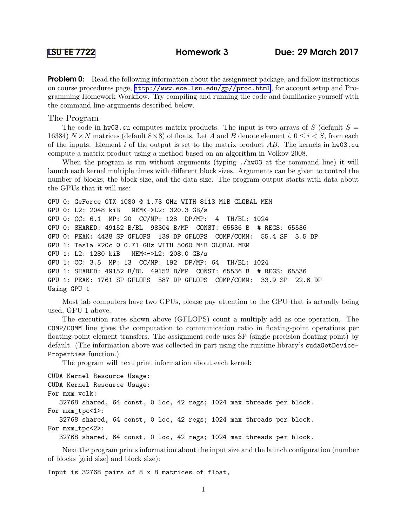**Problem 0:** Read the following information about the assignment package, and follow instructions on course procedures page, <http://www.ece.lsu.edu/gp//proc.html>, for account setup and Programming Homework Workflow. Try compiling and running the code and familiarize yourself with the command line arguments described below.

## The Program

The code in hw03.cu computes matrix products. The input is two arrays of S (default  $S =$ 16384)  $N \times N$  matrices (default  $8 \times 8$ ) of floats. Let A and B denote element i,  $0 \le i \le S$ , from each of the inputs. Element i of the output is set to the matrix product  $AB$ . The kernels in hw03.cu compute a matrix product using a method based on an algorithm in Volkov 2008.

When the program is run without arguments (typing  $\mu$  /hw03 at the command line) it will launch each kernel multiple times with different block sizes. Arguments can be given to control the number of blocks, the block size, and the data size. The program output starts with data about the GPUs that it will use:

```
GPU 0: GeForce GTX 1080 @ 1.73 GHz WITH 8113 MiB GLOBAL MEM
GPU 0: L2: 2048 kiB MEM<->L2: 320.3 GB/s
GPU 0: CC: 6.1 MP: 20 CC/MP: 128 DP/MP: 4 TH/BL: 1024
GPU 0: SHARED: 49152 B/BL 98304 B/MP CONST: 65536 B # REGS: 65536
GPU 0: PEAK: 4438 SP GFLOPS 139 DP GFLOPS COMP/COMM: 55.4 SP 3.5 DP
GPU 1: Tesla K20c @ 0.71 GHz WITH 5060 MiB GLOBAL MEM
GPU 1: L2: 1280 kiB MEM<->L2: 208.0 GB/s
GPU 1: CC: 3.5 MP: 13 CC/MP: 192 DP/MP: 64 TH/BL: 1024
GPU 1: SHARED: 49152 B/BL 49152 B/MP CONST: 65536 B # REGS: 65536
GPU 1: PEAK: 1761 SP GFLOPS 587 DP GFLOPS COMP/COMM: 33.9 SP 22.6 DP
Using GPU 1
```
Most lab computers have two GPUs, please pay attention to the GPU that is actually being used, GPU 1 above.

The execution rates shown above (GFLOPS) count a multiply-add as one operation. The COMP/COMM line gives the computation to communication ratio in floating-point operations per floating-point element transfers. The assignment code uses SP (single precision floating point) by default. (The information above was collected in part using the runtime library's cudaGetDevice-Properties function.)

The program will next print information about each kernel:

```
CUDA Kernel Resource Usage:
CUDA Kernel Resource Usage:
For mxm_volk:
  32768 shared, 64 const, 0 loc, 42 regs; 1024 max threads per block.
For mxm_tpc<1>:
  32768 shared, 64 const, 0 loc, 42 regs; 1024 max threads per block.
For mxm_tpc<2>:
  32768 shared, 64 const, 0 loc, 42 regs; 1024 max threads per block.
```
Next the program prints information about the input size and the launch configuration (number of blocks [grid size] and block size):

Input is 32768 pairs of 8 x 8 matrices of float,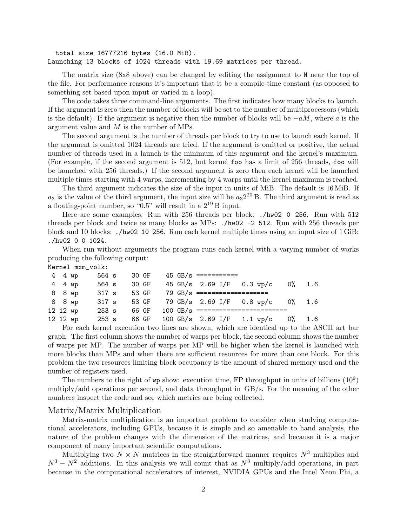total size 16777216 bytes (16.0 MiB). Launching 13 blocks of 1024 threads with 19.69 matrices per thread.

The matrix size (8x8 above) can be changed by editing the assignment to N near the top of the file. For performance reasons it's important that it be a compile-time constant (as opposed to something set based upon input or varied in a loop).

The code takes three command-line arguments. The first indicates how many blocks to launch. If the argument is zero then the number of blocks will be set to the number of multiprocessors (which is the default). If the argument is negative then the number of blocks will be  $-aM$ , where a is the argument value and M is the number of MPs.

The second argument is the number of threads per block to try to use to launch each kernel. If the argument is omitted 1024 threads are tried. If the argument is omitted or positive, the actual number of threads used in a launch is the minimum of this argument and the kernel's maximum. (For example, if the second argument is 512, but kernel foo has a limit of 256 threads, foo will be launched with 256 threads.) If the second argument is zero then each kernel will be launched multiple times starting with 4 warps, incrementing by 4 warps until the kernel maximum is reached.

The third argument indicates the size of the input in units of MiB. The default is 16 MiB. If  $a_3$  is the value of the third argument, the input size will be  $a_3 2^{20}$  B. The third argument is read as a floating-point number, so " $0.5$ " will result in a  $2^{19}$  B input.

Here are some examples: Run with 256 threads per block: ./hw02 0 256. Run with 512 threads per block and twice as many blocks as MPs: ./hw02 -2 512. Run with 256 threads per block and 10 blocks: ./hw02 10 256. Run each kernel multiple times using an input size of 1 GiB: ./hw02 0 0 1024.

When run without arguments the program runs each kernel with a varying number of works producing the following output:

| Kernel mxm_volk: |  |  |
|------------------|--|--|
|------------------|--|--|

| 4 4 wp   | 564 s |       |  | 30 GF $45$ GB/s ===========                |  |           |     |
|----------|-------|-------|--|--------------------------------------------|--|-----------|-----|
| 4 4 wp   | 564 s | 30 GF |  | 45 GB/s 2.69 I/F 0.3 wp/c                  |  | $0\%$ 1.6 |     |
| 8 8 wp   |       |       |  | 317 s 53 GF $79$ GB/s ==================== |  |           |     |
| 88 wp    | 317 s |       |  | 53 GF 79 GB/s 2.69 I/F 0.8 wp/c 0% 1.6     |  |           |     |
| 12 12 wp | 253 s |       |  | 66 GF 100 GB/s =========================   |  |           |     |
| 12 12 wp | 253 s |       |  | 66 GF 100 GB/s 2.69 I/F 1.1 wp/c           |  | $0\%$     | 1.6 |

For each kernel execution two lines are shown, which are identical up to the ASCII art bar graph. The first column shows the number of warps per block, the second column shows the number of warps per MP. The number of warps per MP will be higher when the kernel is launched with more blocks than MPs and when there are sufficient resources for more than one block. For this problem the two resources limiting block occupancy is the amount of shared memory used and the number of registers used.

The numbers to the right of  $wp$  show: execution time, FP throughput in units of billions  $(10^9)$ multiply/add operations per second, and data throughput in GB/s. For the meaning of the other numbers inspect the code and see which metrics are being collected.

## Matrix/Matrix Multiplication

Matrix-matrix multiplication is an important problem to consider when studying computational accelerators, including GPUs, because it is simple and so amenable to hand analysis, the nature of the problem changes with the dimension of the matrices, and because it is a major component of many important scientific computations.

Multiplying two  $N \times N$  matrices in the straightforward manner requires  $N^3$  multiplies and  $N^3 - N^2$  additions. In this analysis we will count that as  $N^3$  multiply/add operations, in part because in the computational accelerators of interest, NVIDIA GPUs and the Intel Xeon Phi, a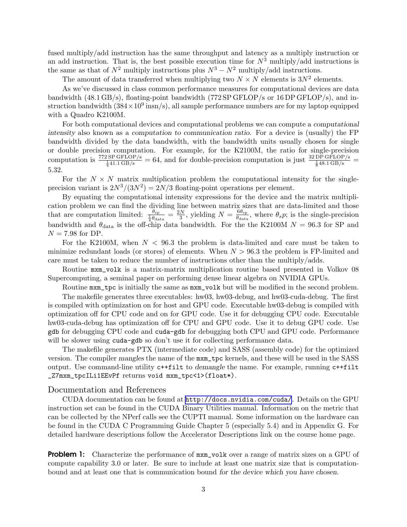fused multiply/add instruction has the same throughput and latency as a multiply instruction or an add instruction. That is, the best possible execution time for  $N^3$  multiply/add instructions is the same as that of  $N^2$  multiply instructions plus  $N^3 - N^2$  multiply/add instructions.

The amount of data transferred when multiplying two  $N \times N$  elements is  $3N^2$  elements.

As we've discussed in class common performance measures for computational devices are data bandwidth (48.1 GB/s), floating-point bandwidth (772 SP GFLOP/s or 16 DP GFLOP/s), and instruction bandwidth  $(384 \times 10^9 \text{ insn/s})$ , all sample performance numbers are for my laptop equipped with a Quadro K2100M.

For both computational devices and computational problems we can compute a computational intensity also known as a computation to communication ratio. For a device is (usually) the FP bandwidth divided by the data bandwidth, with the bandwidth units usually chosen for single or double precision computation. For example, for the K2100M, the ratio for single-precision computation is  $\frac{772 \text{ SP GFLOP/s}}{\frac{1}{4}41.1 \text{ GB/s}} = 64$ , and for double-precision computation is just  $\frac{32 \text{ DP GFLOP/s}}{\frac{1}{8}48.1 \text{ GB/s}} =$ 5.32.

For the  $N \times N$  matrix multiplication problem the computational intensity for the singleprecision variant is  $2N^3/(3N^2) = 2N/3$  floating-point operations per element.

By equating the computational intensity expressions for the device and the matrix multiplication problem we can find the dividing line between matrix sizes that are data-limited and those that are computation limited:  $\frac{\theta_{sp}}{\frac{1}{4}\theta_{data}} = \frac{2N}{3}$ , yielding  $N = \frac{6\theta_{sp}}{\theta_{data}}$  $\frac{\partial \theta_{\rm sp}}{\partial_{\rm data}}$ , where  $\theta_s p$ ; is the single-precision bandwidth and  $\theta_{data}$  is the off-chip data bandwidth. For the the K2100M  $N = 96.3$  for SP and  $N = 7.98$  for DP.

For the K2100M, when  $N < 96.3$  the problem is data-limited and care must be taken to minimize redundant loads (or stores) of elements. When  $N > 96.3$  the problem is FP-limited and care must be taken to reduce the number of instructions other than the multiply/adds.

Routine mxm\_volk is a matrix-matrix multiplication routine based presented in Volkov 08 Supercomputing, a seminal paper on performing dense linear algebra on NVIDIA GPUs.

Routine mxm\_tpc is initially the same as mxm\_volk but will be modified in the second problem.

The makefile generates three executables: hw03, hw03-debug, and hw03-cuda-debug. The first is compiled with optimization on for host and GPU code. Executable hw03-debug is compiled with optimization off for CPU code and on for GPU code. Use it for debugging CPU code. Executable hw03-cuda-debug has optimization off for CPU and GPU code. Use it to debug GPU code. Use gdb for debugging CPU code and cuda-gdb for debugging both CPU and GPU code. Performance will be slower using cuda-gdb so don't use it for collecting performance data.

The makefile generates PTX (intermediate code) and SASS (assembly code) for the optimized version. The compiler mangles the name of the mxm\_tpc kernels, and these will be used in the SASS output. Use command-line utility c++filt to demangle the name. For example, running c++filt \_Z7mxm\_tpcILi1EEvPf returns void mxm\_tpc<1>(float\*).

## Documentation and References

CUDA documentation can be found at <http://docs.nvidia.com/cuda/>. Details on the GPU instruction set can be found in the CUDA Binary Utilities manual. Information on the metric that can be collected by the NPerf calls see the CUPTI manual. Some information on the hardware can be found in the CUDA C Programming Guide Chapter 5 (especially 5.4) and in Appendix G. For detailed hardware descriptions follow the Accelerator Descriptions link on the course home page.

**Problem 1:** Characterize the performance of  $\max$  volk over a range of matrix sizes on a GPU of compute capability 3.0 or later. Be sure to include at least one matrix size that is computationbound and at least one that is communication bound for the device which you have chosen.